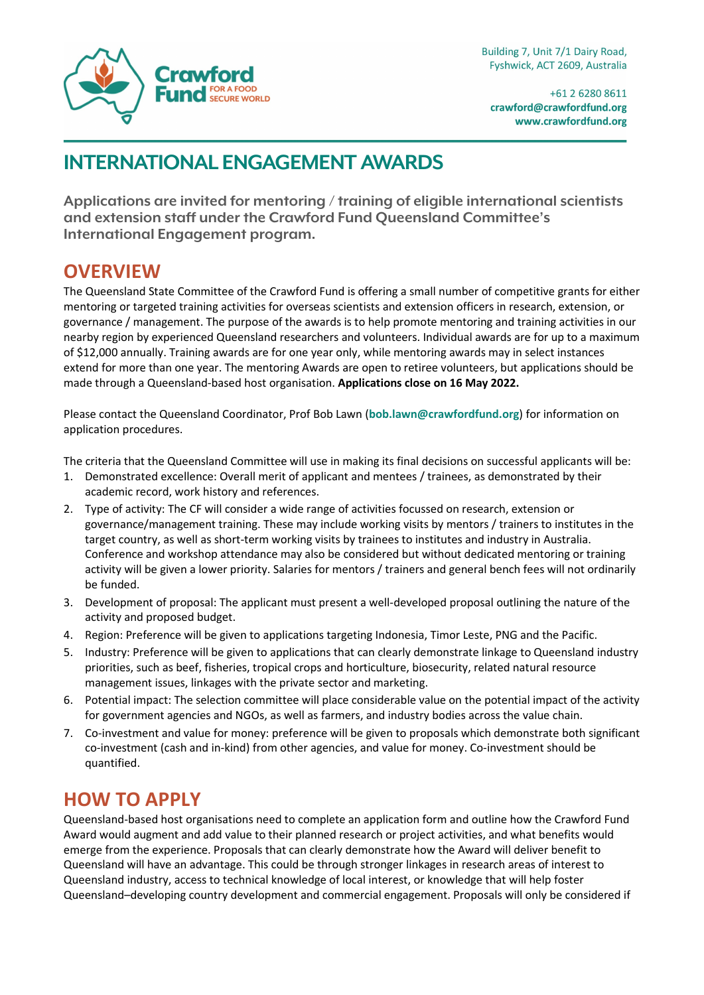

+61 2 6280 8611 crawford@crawfordfund.org www.crawfordfund.org

## **INTERNATIONAL ENGAGEMENT AWARDS**

**Applications are invited for mentoring / training of eligible international scientists and extension staff under the Crawford Fund Queensland Committee's International Engagement program.**

#### **OVERVIEW**

The Queensland State Committee of the Crawford Fund is offering a small number of competitive grants for either mentoring or targeted training activities for overseas scientists and extension officers in research, extension, or governance / management. The purpose of the awards is to help promote mentoring and training activities in our nearby region by experienced Queensland researchers and volunteers. Individual awards are for up to a maximum of \$12,000 annually. Training awards are for one year only, while mentoring awards may in select instances extend for more than one year. The mentoring Awards are open to retiree volunteers, but applications should be made through a Queensland-based host organisation. **Applications close on 16 May 2022.** 

Please contact the Queensland Coordinator, Prof Bob Lawn (**[bob.lawn@crawfordfund.org](mailto:bob.lawn@crawfordfund.org)**) for information on application procedures.

The criteria that the Queensland Committee will use in making its final decisions on successful applicants will be:

- 1. Demonstrated excellence: Overall merit of applicant and mentees / trainees, as demonstrated by their academic record, work history and references.
- 2. Type of activity: The CF will consider a wide range of activities focussed on research, extension or governance/management training. These may include working visits by mentors / trainers to institutes in the target country, as well as short-term working visits by trainees to institutes and industry in Australia. Conference and workshop attendance may also be considered but without dedicated mentoring or training activity will be given a lower priority. Salaries for mentors / trainers and general bench fees will not ordinarily be funded.
- 3. Development of proposal: The applicant must present a well-developed proposal outlining the nature of the activity and proposed budget.
- 4. Region: Preference will be given to applications targeting Indonesia, Timor Leste, PNG and the Pacific.
- 5. Industry: Preference will be given to applications that can clearly demonstrate linkage to Queensland industry priorities, such as beef, fisheries, tropical crops and horticulture, biosecurity, related natural resource management issues, linkages with the private sector and marketing.
- 6. Potential impact: The selection committee will place considerable value on the potential impact of the activity for government agencies and NGOs, as well as farmers, and industry bodies across the value chain.
- 7. Co-investment and value for money: preference will be given to proposals which demonstrate both significant co-investment (cash and in-kind) from other agencies, and value for money. Co-investment should be quantified.

### **HOW TO APPLY**

Queensland-based host organisations need to complete an application form and outline how the Crawford Fund Award would augment and add value to their planned research or project activities, and what benefits would emerge from the experience. Proposals that can clearly demonstrate how the Award will deliver benefit to Queensland will have an advantage. This could be through stronger linkages in research areas of interest to Queensland industry, access to technical knowledge of local interest, or knowledge that will help foster Queensland–developing country development and commercial engagement. Proposals will only be considered if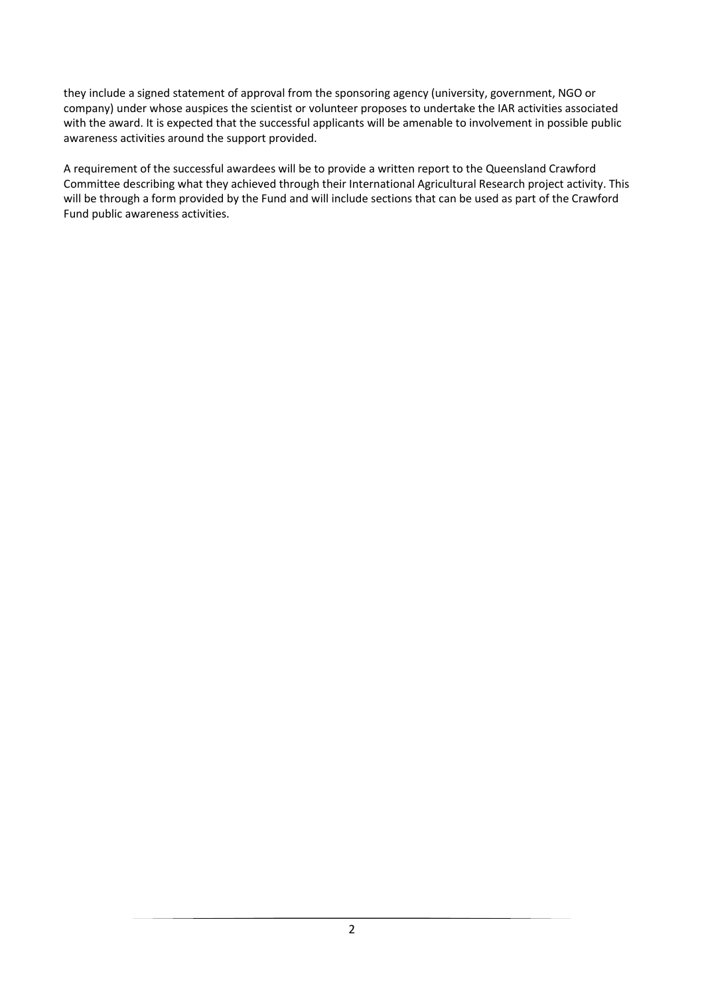they include a signed statement of approval from the sponsoring agency (university, government, NGO or company) under whose auspices the scientist or volunteer proposes to undertake the IAR activities associated with the award. It is expected that the successful applicants will be amenable to involvement in possible public awareness activities around the support provided.

A requirement of the successful awardees will be to provide a written report to the Queensland Crawford Committee describing what they achieved through their International Agricultural Research project activity. This will be through a form provided by the Fund and will include sections that can be used as part of the Crawford Fund public awareness activities.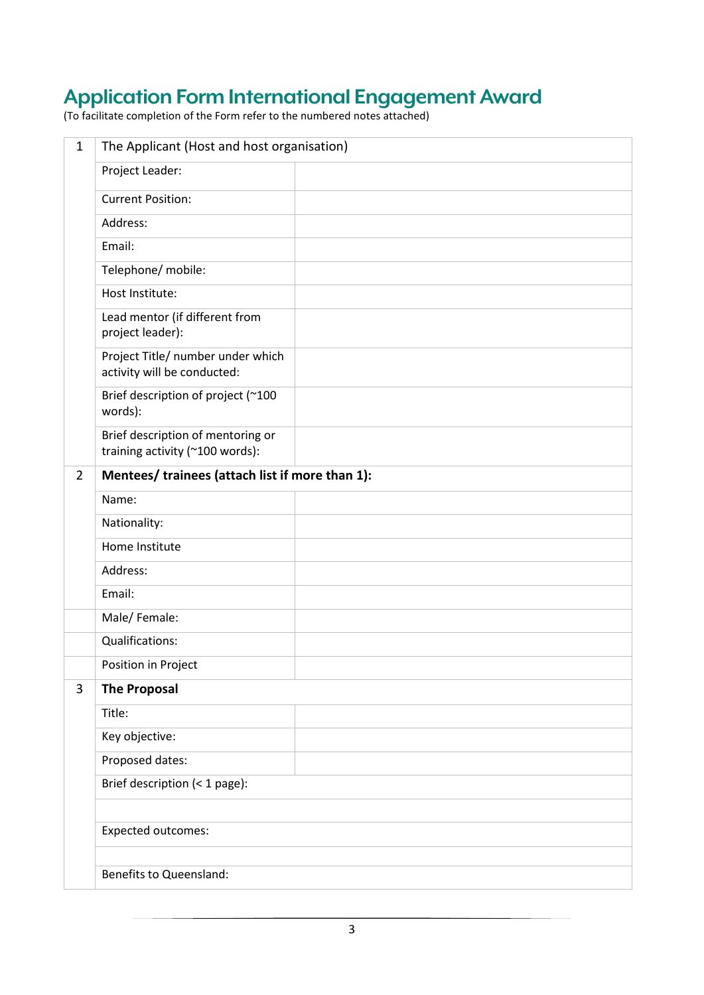# **Application Form International Engagement Award**

(To facilitate completion of the Form refer to the numbered notes attached)

| $\mathbf{1}$   | The Applicant (Host and host organisation)                           |  |
|----------------|----------------------------------------------------------------------|--|
|                | Project Leader:                                                      |  |
|                | <b>Current Position:</b>                                             |  |
|                | Address:                                                             |  |
|                | Email:                                                               |  |
|                | Telephone/ mobile:                                                   |  |
|                | Host Institute:                                                      |  |
|                | Lead mentor (if different from<br>project leader):                   |  |
|                | Project Title/ number under which<br>activity will be conducted:     |  |
|                | Brief description of project (~100<br>words):                        |  |
|                | Brief description of mentoring or<br>training activity (~100 words): |  |
| $\overline{2}$ | Mentees/ trainees (attach list if more than 1):                      |  |
|                | Name:                                                                |  |
|                | Nationality:                                                         |  |
|                | Home Institute                                                       |  |
|                | Address:                                                             |  |
|                | Email:                                                               |  |
|                | Male/Female:                                                         |  |
|                | Qualifications:                                                      |  |
|                | Position in Project                                                  |  |
| 3              | <b>The Proposal</b>                                                  |  |
|                | Title:                                                               |  |
|                | Key objective:                                                       |  |
|                | Proposed dates:                                                      |  |
|                | Brief description (< 1 page):                                        |  |
|                | <b>Expected outcomes:</b>                                            |  |
|                |                                                                      |  |
|                | Benefits to Queensland:                                              |  |
|                |                                                                      |  |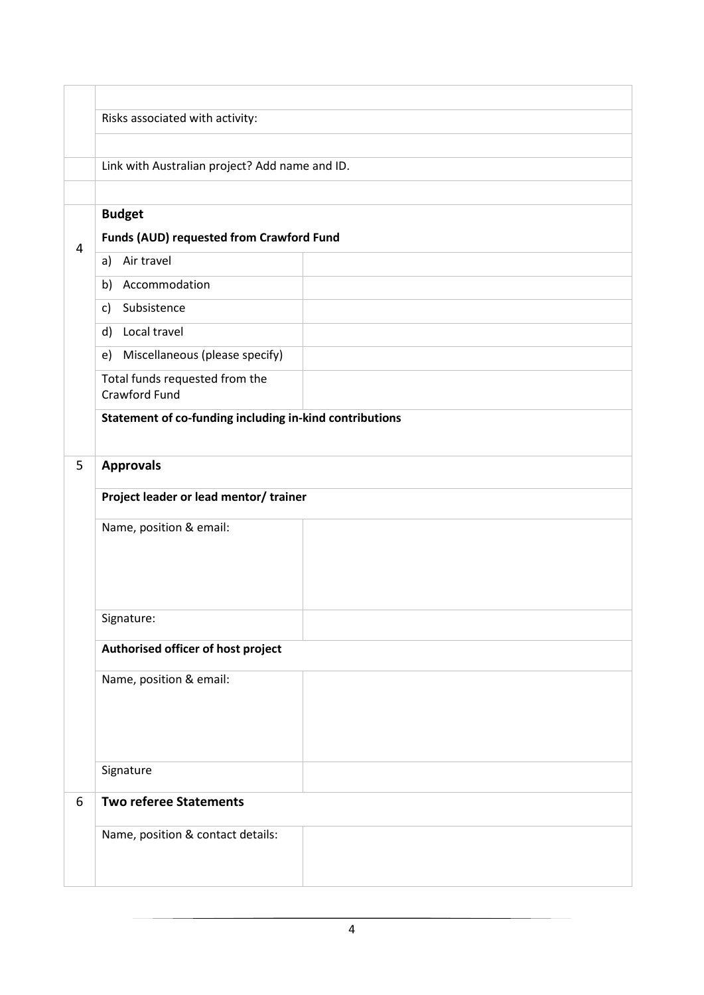|                | Risks associated with activity:                         |  |  |
|----------------|---------------------------------------------------------|--|--|
|                |                                                         |  |  |
|                | Link with Australian project? Add name and ID.          |  |  |
|                |                                                         |  |  |
|                | <b>Budget</b>                                           |  |  |
| $\overline{4}$ | Funds (AUD) requested from Crawford Fund                |  |  |
|                | Air travel<br>a)                                        |  |  |
|                | Accommodation<br>b)                                     |  |  |
|                | Subsistence<br>c)                                       |  |  |
|                | Local travel<br>d)                                      |  |  |
|                | Miscellaneous (please specify)<br>e)                    |  |  |
|                | Total funds requested from the<br>Crawford Fund         |  |  |
|                | Statement of co-funding including in-kind contributions |  |  |
|                |                                                         |  |  |
| 5              | <b>Approvals</b>                                        |  |  |
|                | Project leader or lead mentor/ trainer                  |  |  |
|                | Name, position & email:                                 |  |  |
|                |                                                         |  |  |
|                |                                                         |  |  |
|                |                                                         |  |  |
|                | Signature:                                              |  |  |
|                | Authorised officer of host project                      |  |  |
|                |                                                         |  |  |
|                | Name, position & email:                                 |  |  |
|                |                                                         |  |  |
|                |                                                         |  |  |
|                |                                                         |  |  |
|                | Signature                                               |  |  |
| 6              | <b>Two referee Statements</b>                           |  |  |
|                | Name, position & contact details:                       |  |  |
|                |                                                         |  |  |
|                |                                                         |  |  |